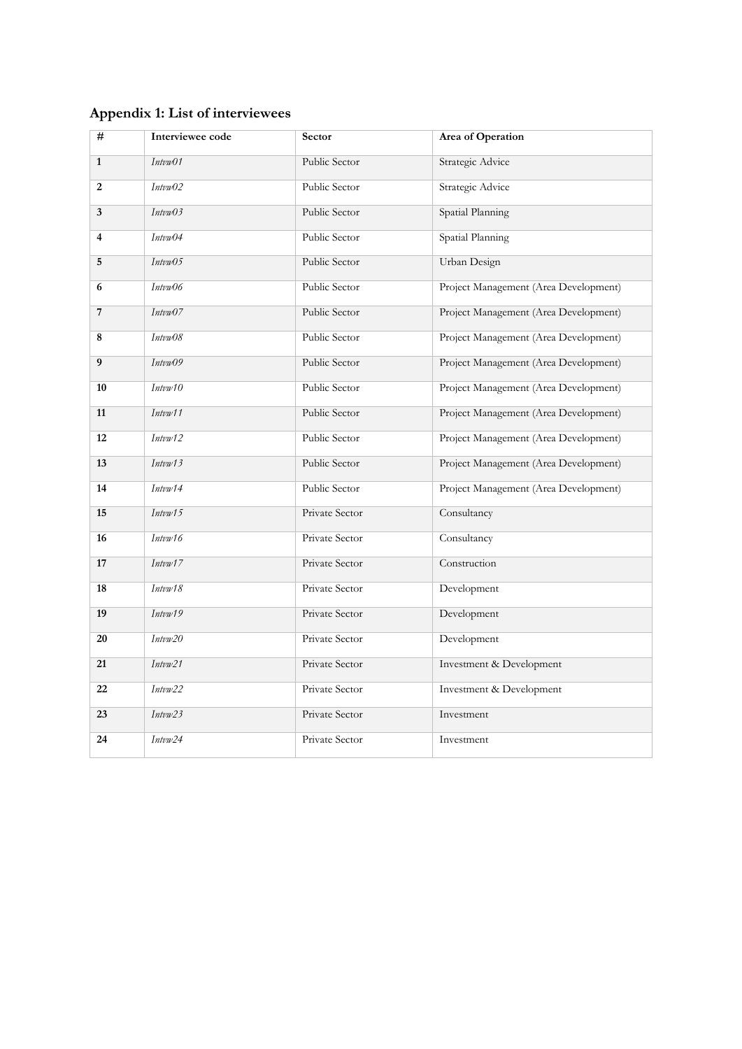## **Appendix 1: List of interviewees**

| #              | Interviewee code | Sector               | <b>Area of Operation</b>              |
|----------------|------------------|----------------------|---------------------------------------|
| $\mathbf{1}$   | Intvw01          | Public Sector        | Strategic Advice                      |
| $\overline{2}$ | Intvw02          | Public Sector        | Strategic Advice                      |
| 3              | IntvwO3          | Public Sector        | Spatial Planning                      |
| 4              | Intvw04          | Public Sector        | Spatial Planning                      |
| 5              | Intvw05          | Public Sector        | Urban Design                          |
| 6              | Intvw06          | Public Sector        | Project Management (Area Development) |
| 7              | IntvwO7          | Public Sector        | Project Management (Area Development) |
| 8              | Intvw08          | Public Sector        | Project Management (Area Development) |
| 9              | Intvw09          | <b>Public Sector</b> | Project Management (Area Development) |
| 10             | Intwv10          | Public Sector        | Project Management (Area Development) |
| 11             | Intvw11          | Public Sector        | Project Management (Area Development) |
| 12             | Intvw12          | Public Sector        | Project Management (Area Development) |
| 13             | Intw13           | Public Sector        | Project Management (Area Development) |
| 14             | Intvw14          | Public Sector        | Project Management (Area Development) |
| 15             | Intw15           | Private Sector       | Consultancy                           |
| 16             | Intvw16          | Private Sector       | Consultancy                           |
| 17             | Intvw17          | Private Sector       | Construction                          |
| 18             | Intvw18          | Private Sector       | Development                           |
| 19             | Intw19           | Private Sector       | Development                           |
| 20             | Intw20           | Private Sector       | Development                           |
| 21             | Intw21           | Private Sector       | Investment & Development              |
| 22             | Intw22           | Private Sector       | Investment & Development              |
| 23             | Intvw23          | Private Sector       | Investment                            |
| 24             | Intvw24          | Private Sector       | Investment                            |